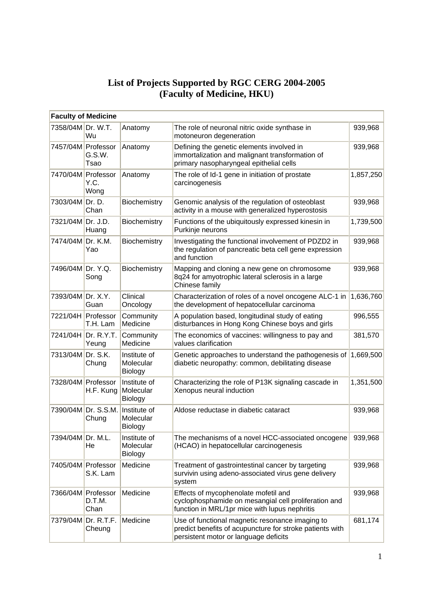## **List of Projects Supported by RGC CERG 2004-2005 (Faculty of Medicine, HKU)**

| <b>Faculty of Medicine</b> |                              |                                      |                                                                                                                                                      |           |  |  |  |  |
|----------------------------|------------------------------|--------------------------------------|------------------------------------------------------------------------------------------------------------------------------------------------------|-----------|--|--|--|--|
| 7358/04M Dr. W.T.          | Wu                           | Anatomy                              | The role of neuronal nitric oxide synthase in<br>motoneuron degeneration                                                                             | 939,968   |  |  |  |  |
| 7457/04M Professor         | G.S.W.<br>Tsao               | Anatomy                              | Defining the genetic elements involved in<br>immortalization and malignant transformation of<br>primary nasopharyngeal epithelial cells              | 939,968   |  |  |  |  |
| 7470/04M Professor         | Y.C.<br>Wong                 | Anatomy                              | The role of Id-1 gene in initiation of prostate<br>carcinogenesis                                                                                    | 1,857,250 |  |  |  |  |
| 7303/04M                   | Dr. D.<br>Chan               | Biochemistry                         | Genomic analysis of the regulation of osteoblast<br>activity in a mouse with generalized hyperostosis                                                | 939,968   |  |  |  |  |
| 7321/04M Dr. J.D.          | Huang                        | Biochemistry                         | Functions of the ubiquitously expressed kinesin in<br>Purkinje neurons                                                                               | 1,739,500 |  |  |  |  |
| 7474/04M                   | Dr. K.M.<br>Yao              | Biochemistry                         | Investigating the functional involvement of PDZD2 in<br>the regulation of pancreatic beta cell gene expression<br>and function                       | 939,968   |  |  |  |  |
| 7496/04M Dr. Y.Q.          | Song                         | Biochemistry                         | Mapping and cloning a new gene on chromosome<br>8q24 for amyotrophic lateral sclerosis in a large<br>Chinese family                                  | 939,968   |  |  |  |  |
| 7393/04M Dr. X.Y.          | Guan                         | Clinical<br>Oncology                 | Characterization of roles of a novel oncogene ALC-1 in<br>the development of hepatocellular carcinoma                                                | 1,636,760 |  |  |  |  |
| 7221/04H Professor         | T.H. Lam                     | Community<br>Medicine                | A population based, longitudinal study of eating<br>disturbances in Hong Kong Chinese boys and girls                                                 | 996,555   |  |  |  |  |
| 7241/04H                   | Dr. R.Y.T.<br>Yeung          | Community<br>Medicine                | The economics of vaccines: willingness to pay and<br>values clarification                                                                            | 381,570   |  |  |  |  |
| 7313/04M                   | Dr. S.K.<br>Chung            | Institute of<br>Molecular<br>Biology | Genetic approaches to understand the pathogenesis of<br>diabetic neuropathy: common, debilitating disease                                            | 1,669,500 |  |  |  |  |
| 7328/04M Professor         | H.F. Kung                    | Institute of<br>Molecular<br>Biology | Characterizing the role of P13K signaling cascade in<br>Xenopus neural induction                                                                     | 1,351,500 |  |  |  |  |
|                            | 7390/04M Dr. S.S.M.<br>Chung | Institute of<br>Molecular<br>Biology | Aldose reductase in diabetic cataract                                                                                                                | 939,968   |  |  |  |  |
| 7394/04M Dr. M.L           | He                           | Institute of<br>Molecular<br>Biology | The mechanisms of a novel HCC-associated oncogene<br>(HCAO) in hepatocellular carcinogenesis                                                         | 939,968   |  |  |  |  |
| 7405/04M Professor         | S.K. Lam                     | Medicine                             | Treatment of gastrointestinal cancer by targeting<br>survivin using adeno-associated virus gene delivery<br>system                                   | 939,968   |  |  |  |  |
| 7366/04M Professor         | D.T.M.<br>Chan               | Medicine                             | Effects of mycophenolate mofetil and<br>cyclophosphamide on mesangial cell proliferation and<br>function in MRL/1pr mice with lupus nephritis        | 939,968   |  |  |  |  |
| 7379/04M                   | Dr. R.T.F.<br>Cheung         | Medicine                             | Use of functional magnetic resonance imaging to<br>predict benefits of acupuncture for stroke patients with<br>persistent motor or language deficits | 681,174   |  |  |  |  |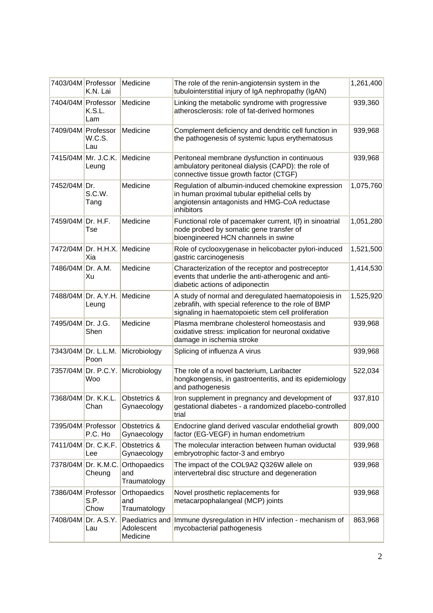|                     | 7403/04M Professor<br>K.N. Lai      | Medicine                                  | The role of the renin-angiotensin system in the<br>tubulointerstitial injury of IgA nephropathy (IgAN)                                                             | 1,261,400 |
|---------------------|-------------------------------------|-------------------------------------------|--------------------------------------------------------------------------------------------------------------------------------------------------------------------|-----------|
| 7404/04M Professor  | K.S.L.<br>Lam                       | Medicine                                  | Linking the metabolic syndrome with progressive<br>atherosclerosis: role of fat-derived hormones                                                                   | 939,360   |
| 7409/04M Professor  | W.C.S.<br>Lau                       | Medicine                                  | Complement deficiency and dendritic cell function in<br>the pathogenesis of systemic lupus erythematosus                                                           | 939,968   |
|                     | 7415/04M Mr. J.C.K.<br>Leung        | Medicine                                  | Peritoneal membrane dysfunction in continuous<br>ambulatory peritoneal dialysis (CAPD): the role of<br>connective tissue growth factor (CTGF)                      | 939,968   |
| 7452/04M Dr.        | S.C.W.<br>Tang                      | Medicine                                  | Regulation of albumin-induced chemokine expression<br>in human proximal tubular epithelial cells by<br>angiotensin antagonists and HMG-CoA reductase<br>inhibitors | 1,075,760 |
| 7459/04M Dr. H.F.   | Tse                                 | Medicine                                  | Functional role of pacemaker current, I(f) in sinoatrial<br>node probed by somatic gene transfer of<br>bioengineered HCN channels in swine                         | 1,051,280 |
|                     | 7472/04M Dr. H.H.X. Medicine<br>Xia |                                           | Role of cyclooxygenase in helicobacter pylori-induced<br>gastric carcinogenesis                                                                                    | 1,521,500 |
| 7486/04M            | Dr. A.M.<br>Xu                      | Medicine                                  | Characterization of the receptor and postreceptor<br>events that underlie the anti-atherogenic and anti-<br>diabetic actions of adiponectin                        | 1,414,530 |
|                     | 7488/04M Dr. A.Y.H.<br>Leung        | Medicine                                  | A study of normal and deregulated haematopoiesis in<br>zebrafih, with special reference to the role of BMP<br>signaling in haematopoietic stem cell proliferation  | 1,525,920 |
| 7495/04M Dr. J.G.   | Shen                                | Medicine                                  | Plasma membrane cholesterol homeostasis and<br>oxidative stress: implication for neuronal oxidative<br>damage in ischemia stroke                                   | 939,968   |
| 7343/04M Dr. L.L.M. | Poon                                | Microbiology                              | Splicing of influenza A virus                                                                                                                                      | 939,968   |
|                     | 7357/04M Dr. P.C.Y.<br>Woo          | Microbiology                              | The role of a novel bacterium, Laribacter<br>hongkongensis, in gastroenteritis, and its epidemiology<br>and pathogenesis                                           | 522,034   |
| 7368/04M Dr. K.K.L. | Chan                                | Obstetrics &<br>Gynaecology               | Iron supplement in pregnancy and development of<br>gestational diabetes - a randomized placebo-controlled<br>trial                                                 | 937,810   |
| 7395/04M Professor  | P.C. Ho                             | Obstetrics &<br>Gynaecology               | Endocrine gland derived vascular endothelial growth<br>factor (EG-VEGF) in human endometrium                                                                       | 809,000   |
|                     | 7411/04M Dr. C.K.F.<br>Lee          | Obstetrics &<br>Gynaecology               | The molecular interaction between human oviductal<br>embryotrophic factor-3 and embryo                                                                             | 939,968   |
|                     | 7378/04M Dr. K.M.C.<br>Cheung       | Orthopaedics<br>and<br>Traumatology       | The impact of the COL9A2 Q326W allele on<br>intervertebral disc structure and degeneration                                                                         | 939,968   |
| 7386/04M Professor  | S.P.<br>Chow                        | Orthopaedics<br>and<br>Traumatology       | Novel prosthetic replacements for<br>metacarpophalangeal (MCP) joints                                                                                              | 939,968   |
| 7408/04M            | Dr. A.S.Y.<br>Lau                   | Paediatrics and<br>Adolescent<br>Medicine | Immune dysregulation in HIV infection - mechanism of<br>mycobacterial pathogenesis                                                                                 | 863,968   |